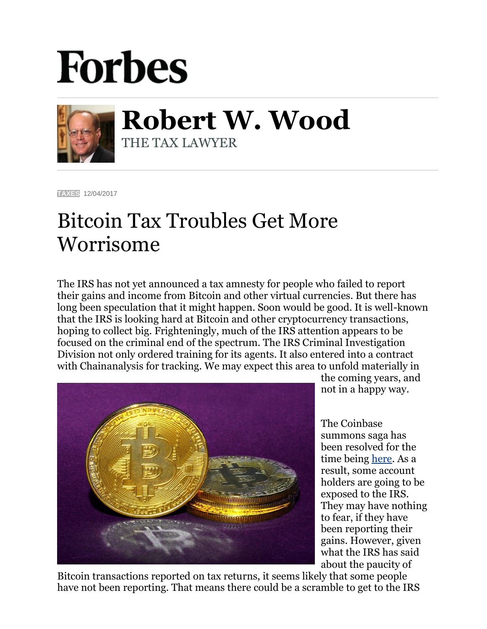## **Forbes**



**Robert W. Wood** THE TAX LAWYER

**[TAXES](https://www.forbes.com/taxes)** 12/04/2017

## Bitcoin Tax Troubles Get More Worrisome

The IRS has not yet announced a tax amnesty for people who failed to report their gains and income from Bitcoin and other virtual currencies. But there has long been speculation that it might happen. Soon would be good. It is well-known that the IRS is looking hard at Bitcoin and other cryptocurrency transactions, hoping to collect big. Frighteningly, much of the IRS attention appears to be focused on the criminal end of the spectrum. The IRS Criminal Investigation Division not only ordered training for its agents. It also entered into a contract with Chainanalysis for tracking. We may expect this area to unfold materially in



the coming years, and not in a happy way.

The Coinbase summons saga has been resolved for the time being [here.](https://www.scribd.com/document/365893210/US-v-Coinbase-order#fullscreen&from_embed) As a result, some account holders are going to be exposed to the IRS. They may have nothing to fear, if they have been reporting their gains. However, given what the IRS has said about the paucity of

Bitcoin transactions reported on tax returns, it seems likely that some people have not been reporting. That means there could be a scramble to get to the IRS